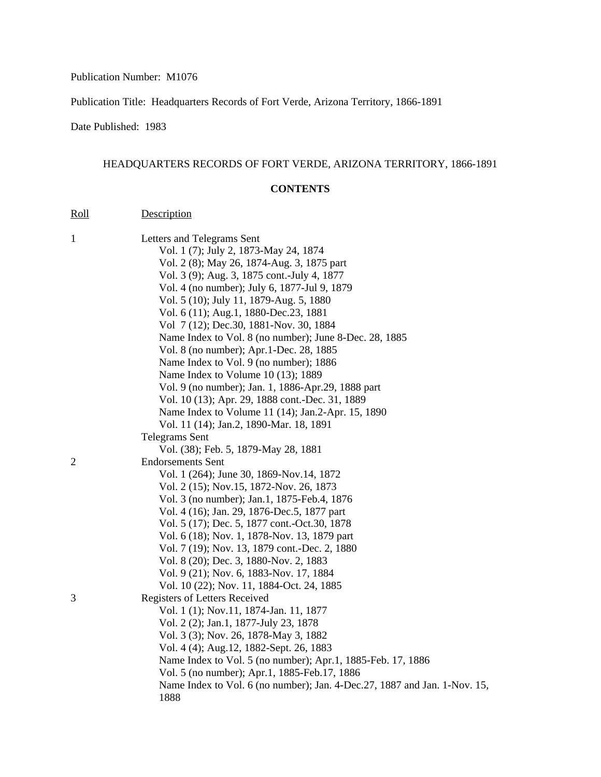## Publication Number: M1076

Publication Title: Headquarters Records of Fort Verde, Arizona Territory, 1866-1891

Date Published: 1983

Roll Description

## HEADQUARTERS RECORDS OF FORT VERDE, ARIZONA TERRITORY, 1866-1891

## **CONTENTS**

| $\mathbf{1}$ | Letters and Telegrams Sent                                                 |
|--------------|----------------------------------------------------------------------------|
|              | Vol. 1 (7); July 2, 1873-May 24, 1874                                      |
|              | Vol. 2 (8); May 26, 1874-Aug. 3, 1875 part                                 |
|              | Vol. 3 (9); Aug. 3, 1875 cont.-July 4, 1877                                |
|              | Vol. 4 (no number); July 6, 1877-Jul 9, 1879                               |
|              | Vol. 5 (10); July 11, 1879-Aug. 5, 1880                                    |
|              | Vol. 6 (11); Aug.1, 1880-Dec.23, 1881                                      |
|              | Vol 7 (12); Dec.30, 1881-Nov. 30, 1884                                     |
|              | Name Index to Vol. 8 (no number); June 8-Dec. 28, 1885                     |
|              | Vol. 8 (no number); Apr.1-Dec. 28, 1885                                    |
|              | Name Index to Vol. 9 (no number); 1886                                     |
|              | Name Index to Volume 10 (13); 1889                                         |
|              | Vol. 9 (no number); Jan. 1, 1886-Apr.29, 1888 part                         |
|              | Vol. 10 (13); Apr. 29, 1888 cont.-Dec. 31, 1889                            |
|              | Name Index to Volume 11 (14); Jan.2-Apr. 15, 1890                          |
|              | Vol. 11 (14); Jan.2, 1890-Mar. 18, 1891                                    |
|              | <b>Telegrams Sent</b>                                                      |
|              | Vol. (38); Feb. 5, 1879-May 28, 1881                                       |
| 2            | <b>Endorsements Sent</b>                                                   |
|              | Vol. 1 (264); June 30, 1869-Nov.14, 1872                                   |
|              | Vol. 2 (15); Nov.15, 1872-Nov. 26, 1873                                    |
|              | Vol. 3 (no number); Jan.1, 1875-Feb.4, 1876                                |
|              | Vol. 4 (16); Jan. 29, 1876-Dec.5, 1877 part                                |
|              | Vol. 5 (17); Dec. 5, 1877 cont.-Oct.30, 1878                               |
|              | Vol. 6 (18); Nov. 1, 1878-Nov. 13, 1879 part                               |
|              | Vol. 7 (19); Nov. 13, 1879 cont.-Dec. 2, 1880                              |
|              | Vol. 8 (20); Dec. 3, 1880-Nov. 2, 1883                                     |
|              | Vol. 9 (21); Nov. 6, 1883-Nov. 17, 1884                                    |
|              | Vol. 10 (22); Nov. 11, 1884-Oct. 24, 1885                                  |
| 3            | Registers of Letters Received                                              |
|              | Vol. 1 (1); Nov. 11, 1874-Jan. 11, 1877                                    |
|              | Vol. 2 (2); Jan.1, 1877-July 23, 1878                                      |
|              | Vol. 3 (3); Nov. 26, 1878-May 3, 1882                                      |
|              | Vol. 4 (4); Aug. 12, 1882-Sept. 26, 1883                                   |
|              | Name Index to Vol. 5 (no number); Apr.1, 1885-Feb. 17, 1886                |
|              | Vol. 5 (no number); Apr.1, 1885-Feb.17, 1886                               |
|              | Name Index to Vol. 6 (no number); Jan. 4-Dec. 27, 1887 and Jan. 1-Nov. 15, |
|              | 1888                                                                       |